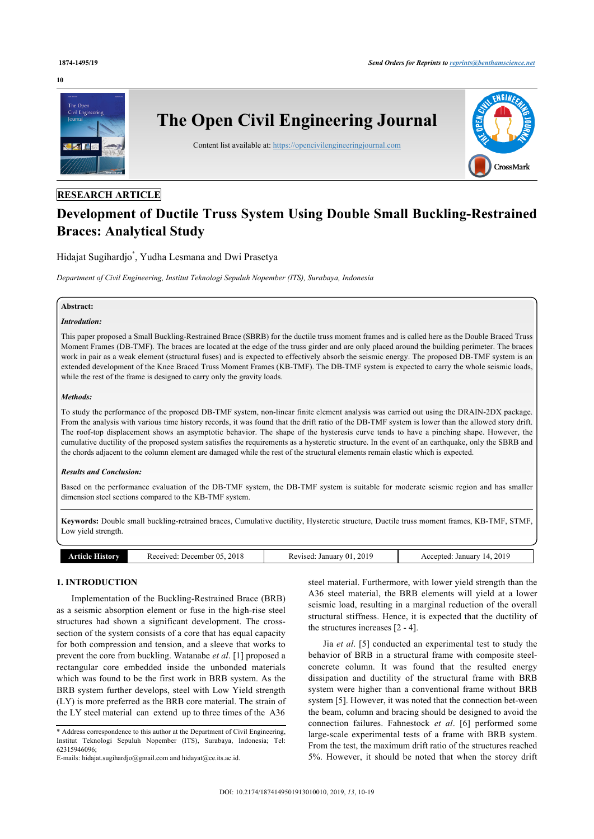#### **10**



# **RESEARCH ARTICLE**

# **Development of Ductile Truss System Using Double Small Buckling-Restrained Braces: Analytical Study**

# Hidajat Sugihardjo[\\*](#page-0-0) , Yudha Lesmana and Dwi Prasetya

*Department of Civil Engineering, Institut Teknologi Sepuluh Nopember (ITS), Surabaya, Indonesia*

#### **Abstract:**

# *Introdution:*

This paper proposed a Small Buckling-Restrained Brace (SBRB) for the ductile truss moment frames and is called here as the Double Braced Truss Moment Frames (DB-TMF). The braces are located at the edge of the truss girder and are only placed around the building perimeter. The braces work in pair as a weak element (structural fuses) and is expected to effectively absorb the seismic energy. The proposed DB-TMF system is an extended development of the Knee Braced Truss Moment Frames (KB-TMF). The DB-TMF system is expected to carry the whole seismic loads, while the rest of the frame is designed to carry only the gravity loads.

#### *Methods:*

To study the performance of the proposed DB-TMF system, non-linear finite element analysis was carried out using the DRAIN-2DX package. From the analysis with various time history records, it was found that the drift ratio of the DB-TMF system is lower than the allowed story drift. The roof-top displacement shows an asymptotic behavior. The shape of the hysteresis curve tends to have a pinching shape. However, the cumulative ductility of the proposed system satisfies the requirements as a hysteretic structure. In the event of an earthquake, only the SBRB and the chords adjacent to the column element are damaged while the rest of the structural elements remain elastic which is expected.

#### *Results and Conclusion:*

Based on the performance evaluation of the DB-TMF system, the DB-TMF system is suitable for moderate seismic region and has smaller dimension steel sections compared to the KB-TMF system.

**Keywords:** Double small buckling-retrained braces, Cumulative ductility, Hysteretic structure, Ductile truss moment frames, KB-TMF, STMF, Low yield strength.

| 201<br>2018<br>Received<br>Revised<br>January<br>December 05<br>History<br>ccepted<br>etic le<br>ТC<br>uua<br>AGU.<br>VLA.<br>าเง<br>$\sim$ | 2019<br>January<br>$\sqrt{ }$<br>____ |
|---------------------------------------------------------------------------------------------------------------------------------------------|---------------------------------------|
|---------------------------------------------------------------------------------------------------------------------------------------------|---------------------------------------|

# **1. INTRODUCTION**

Implementation of the Buckling-Restrained Brace (BRB) as a seismic absorption element or fuse in the high-rise steel structures had shown a significant development. The crosssection of the system consists of a core that has equal capacity for both compression and tension, and a sleeve that works to prevent the core from buckling. Watanabe *et al*. [[1](#page-8-0)] proposed a rectangular core embedded inside the unbonded materials which was found to be the first work in BRB system. As the BRB system further develops, steel with Low Yield strength (LY) is more preferred as the BRB core material. The strain of the LY steel material can extend up to three times of the A36

E-mails: [hidajat.sugihardjo@gmail.com](mailto:hidajat.sugihardjo@gmail.com) and [hidayat@ce.its.ac.id](mailto:hidayat@ce.its.ac.id).

steel material. Furthermore, with lower yield strength than the A36 steel material, the BRB elements will yield at a lower seismic load, resulting in a marginal reduction of the overall structural stiffness. Hence, it is expected that the ductility of the structures increases [[2](#page-8-1) - [4](#page-8-2)].

Jia *et al*. [[5\]](#page-8-3) conducted an experimental test to study the behavior of BRB in a structural frame with composite steelconcrete column. It was found that the resulted energy dissipation and ductility of the structural frame with BRB system were higher than a conventional frame without BRB system [\[5\]](#page-8-3). However, it was noted that the connection bet-ween the beam, column and bracing should be designed to avoid the connection failures. Fahnestock *et al*.[[6\]](#page-9-0) performed some large-scale experimental tests of a frame with BRB system. From the test, the maximum drift ratio of the structures reached 5%. However, it should be noted that when the storey drift

<span id="page-0-0"></span><sup>\*</sup> Address correspondence to this author at the Department of Civil Engineering, Institut Teknologi Sepuluh Nopember (ITS), Surabaya, Indonesia; Tel: 62315946096;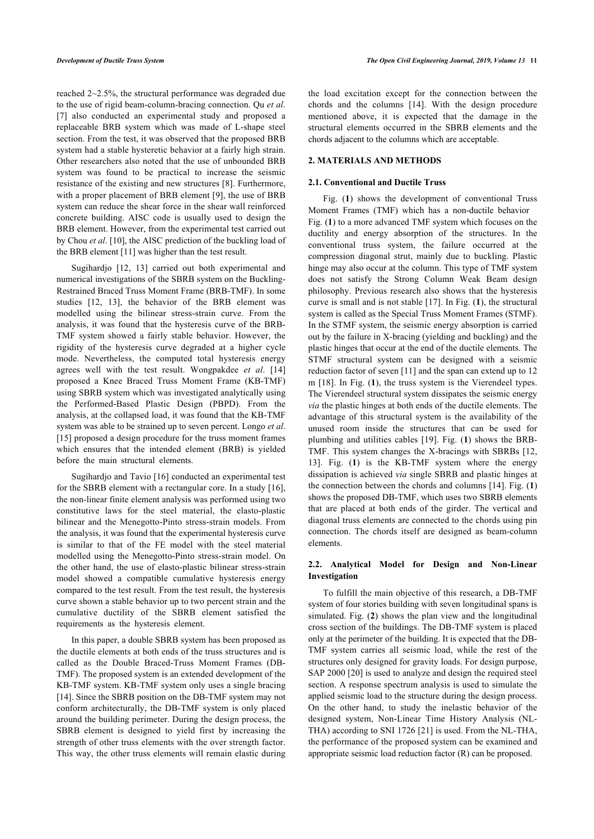reached 2~2.5%, the structural performance was degraded due to the use of rigid beam-column-bracing connection. Qu *et al*. [[7](#page-9-1)] also conducted an experimental study and proposed a replaceable BRB system which was made of L-shape steel section. From the test, it was observed that the proposed BRB system had a stable hysteretic behavior at a fairly high strain. Other researchers also noted that the use of unbounded BRB system was found to be practical to increase the seismic resistance of the existing and new structures [[8](#page-9-2)]. Furthermore, with a proper placement of BRB element [[9\]](#page-9-3), the use of BRB system can reduce the shear force in the shear wall reinforced concrete building. AISC code is usually used to design the BRB element. However, from the experimental test carried out by Chou *et al*. [[10\]](#page-9-4), the AISC prediction of the buckling load of the BRB element [[11\]](#page-9-5) was higher than the test result.

Sugihardjo[[12](#page-9-6), [13](#page-9-7)] carried out both experimental and numerical investigations of the SBRB system on the Buckling-Restrained Braced Truss Moment Frame (BRB-TMF). In some studies[[12](#page-9-6), [13](#page-9-7)], the behavior of the BRB element was modelled using the bilinear stress-strain curve. From the analysis, it was found that the hysteresis curve of the BRB-TMF system showed a fairly stable behavior. However, the rigidity of the hysteresis curve degraded at a higher cycle mode. Nevertheless, the computed total hysteresis energy agrees well with the test result. Wongpakdee *et al*.[[14](#page-9-8)] proposed a Knee Braced Truss Moment Frame (KB-TMF) using SBRB system which was investigated analytically using the Performed-Based Plastic Design (PBPD). From the analysis, at the collapsed load, it was found that the KB-TMF system was able to be strained up to seven percent. Longo *et al*. [[15\]](#page-9-9) proposed a design procedure for the truss moment frames which ensures that the intended element (BRB) is yielded before the main structural elements.

Sugihardjo and Tavio [\[16](#page-9-1)] conducted an experimental test for the SBRB element with a rectangular core. In a study [[16\]](#page-9-1), the non-linear finite element analysis was performed using two constitutive laws for the steel material, the elasto-plastic bilinear and the Menegotto-Pinto stress-strain models. From the analysis, it was found that the experimental hysteresis curve is similar to that of the FE model with the steel material modelled using the Menegotto-Pinto stress-strain model. On the other hand, the use of elasto-plastic bilinear stress-strain model showed a compatible cumulative hysteresis energy compared to the test result. From the test result, the hysteresis curve shown a stable behavior up to two percent strain and the cumulative ductility of the SBRB element satisfied the requirements as the hysteresis element.

In this paper, a double SBRB system has been proposed as the ductile elements at both ends of the truss structures and is called as the Double Braced-Truss Moment Frames (DB-TMF). The proposed system is an extended development of the KB-TMF system. KB-TMF system only uses a single bracing [[14\]](#page-9-8). Since the SBRB position on the DB-TMF system may not conform architecturally, the DB-TMF system is only placed around the building perimeter. During the design process, the SBRB element is designed to yield first by increasing the strength of other truss elements with the over strength factor. This way, the other truss elements will remain elastic during the load excitation except for the connection between the chords and the columns[[14](#page-9-8)]. With the design procedure mentioned above, it is expected that the damage in the structural elements occurred in the SBRB elements and the chords adjacent to the columns which are acceptable.

# **2. MATERIALS AND METHODS**

## **2.1. Conventional and Ductile Truss**

Fig. (**[1](#page-2-0)**) shows the development of conventional Truss Moment Frames (TMF) which has a non-ductile behavior Fig. (**[1](#page-2-0)**) to a more advanced TMF system which focuses on the ductility and energy absorption of the structures. In the conventional truss system, the failure occurred at the compression diagonal strut, mainly due to buckling. Plastic hinge may also occur at the column. This type of TMF system does not satisfy the Strong Column Weak Beam design philosophy. Previous research also shows that the hysteresis curve is small and is not stable [[17\]](#page-9-10). In Fig. (**[1](#page-2-0)**), the structural system is called as the Special Truss Moment Frames (STMF). In the STMF system, the seismic energy absorption is carried out by the failure in X-bracing (yielding and buckling) and the plastic hinges that occur at the end of the ductile elements. The STMF structural system can be designed with a seismic reduction factor of seven [[11](#page-9-5)] and the span can extend up to 12 m [\[18\]](#page-9-11). In Fig. (**[1](#page-2-0)**), the truss system is the Vierendeel types. The Vierendeel structural system dissipates the seismic energy *via* the plastic hinges at both ends of the ductile elements. The advantage of this structural system is the availability of the unused room inside the structures that can be used for plumbing and utilities cables [[19\]](#page-9-12). Fig. (**[1](#page-2-0)**) shows the BRB-[TM](#page-9-7)F. This [sy](#page-2-0)stem changes the X-bracings with SBRBs [\[12](#page-9-6), 13]. Fig. (**1**) is the KB-TMF system where the energy dissipation is achieved *via* single SBRB and plas[tic](#page-9-8) hinges [a](#page-2-0)t the connection between the chords and columns [14]. Fig. (**1**) shows the proposed DB-TMF, which uses two SBRB elements that are placed at both ends of the girder. The vertical and diagonal truss elements are connected to the chords using pin connection. The chords itself are designed as beam-column elements.

# **2.2. Analytical Model for Design and Non-Linear Investigation**

To fulfill the main objective of this research, a DB-TMF system of four st[or](#page-2-1)ies building with seven longitudinal spans is simulated. Fig. (**2**) shows the plan view and the longitudinal cross section of the buildings. The DB-TMF system is placed only at the perimeter of the building. It is expected that the DB-TMF system carries all seismic load, while the rest of the structures o[nly](#page-9-4) designed for gravity loads. For design purpose, SAP 2000 [20] is used to analyze and design the required steel section. A response spectrum analysis is used to simulate the applied seismic load to the structure during the design process. On the other hand, to study the inelastic behavior of the designed system, Non-Linear [T](#page-9-13)ime History Analysis (NL-THA) according to SNI 1726 [21] is used. From the NL-THA, the performance of the proposed system can be examined and appropriate seismic load reduction factor (R) can be proposed.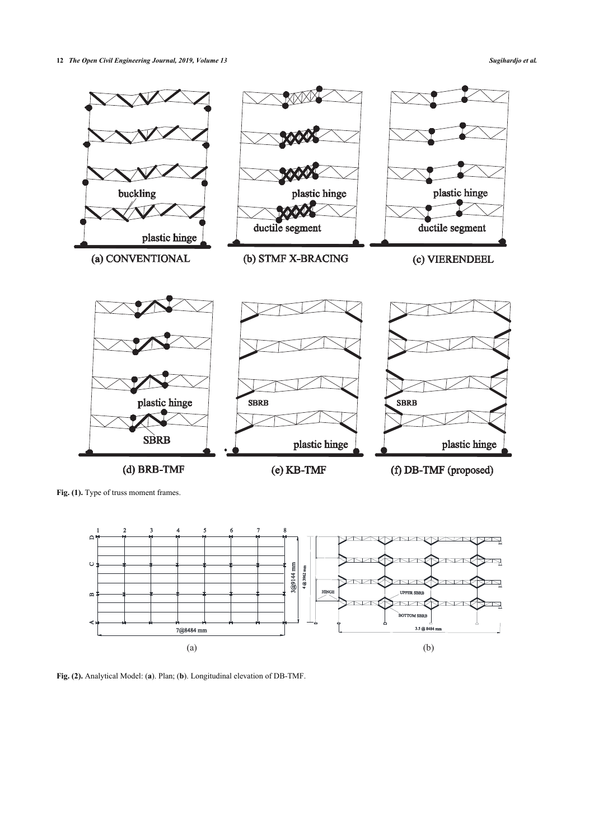<span id="page-2-0"></span>

<span id="page-2-1"></span>Fig. (1). Type of truss moment frames.



<span id="page-2-2"></span>**Fig. (2).** Analytical Model: (**a**). Plan; (**b**). Longitudinal elevation of DB-TMF.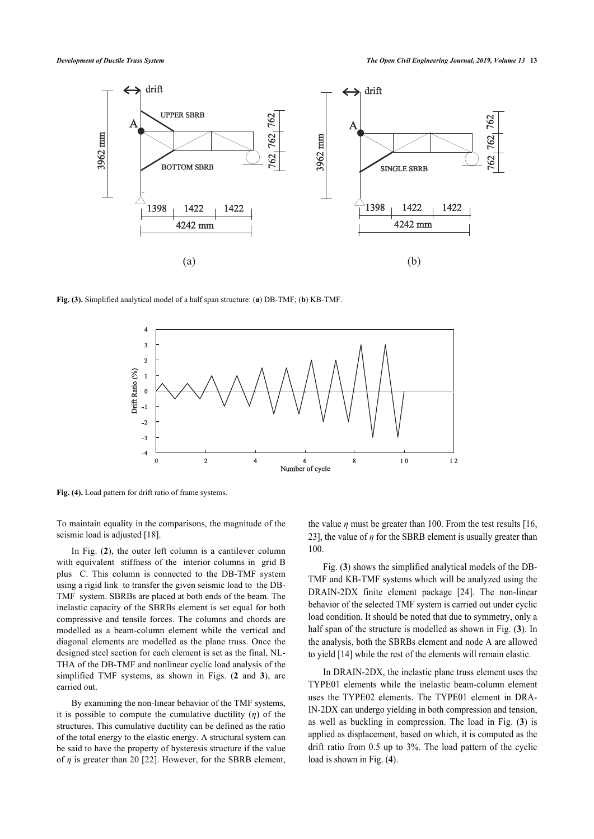

<span id="page-3-0"></span>**Fig. (3).** Simplified analytical model of a half span structure: (**a**) DB-TMF; (**b**) KB-TMF.



**Fig. (4).** Load pattern for drift ratio of frame systems.

To maintain equality in the comparisons, the magnitude of the seismic load is adjusted [\[18](#page-9-11)].

In Fig. (**[2](#page-2-1)**), the outer left column is a cantilever column with equivalent stiffness of the interior columns in grid B plus C. This column is connected to the DB-TMF system using a rigid link to transfer the given seismic load to the DB-TMF system. SBRBs are placed at both ends of the beam. The inelastic capacity of the SBRBs element is set equal for both compressive and tensile forces. The columns and chords are modelled as a beam-column element while the vertical and diagonal elements are modelled as the plane truss. Once the designed steel section for each element is set as the final, NL-THA of the DB-TMF and nonlinear cyclic load analysis of the simplified TMF systems, as shown in Figs. (**[2](#page--1-0)** and**3**), are carried out.

By examining the non-linear behavior of the TMF systems, it is possible to compute the cumulative ductility (*η*) of the structures. This cumulative ductility can be defined as the ratio of the total energy to the elastic energy. A structural system can be said to have the property of hysteresis structure if the value of *η* is greater than 20 [\[22](#page-9-14)]. However, for the SBRB element, the value  $\eta$  must be greater than 100. From the test results [\[16](#page-9-1), [23\]](#page-9-15), the value of  $\eta$  for the SBRB element is usually greater than 100.

Fig. (**[3](#page-2-2)**) shows the simplified analytical models of the DB-TMF and KB-TMF systems which will be analyzed using the DRAIN-2DX finite element package [\[24\]](#page-9-16). The non-linear behavior of the selected TMF system is carried out under cyclic load condition. It should be noted that due to symmetry, only a half span of the structure is modelled as shown in Fig. (**[3](#page-2-2)**). In the analysis, both the SBRBs element and node A are allowed to yield [\[14](#page-9-8)] while the rest of the elements will remain elastic.

In DRAIN-2DX, the inelastic plane truss element uses the TYPE01 elements while the inelastic beam-column element uses the TYPE02 elements. The TYPE01 element in DRA-IN-2DX can undergo yielding in both compression and tension, as well as buckling in compression. The load in Fig. (**[3](#page-2-2)**) is applied as displacement, based on which, it is computed as the drift ratio from 0.5 up to 3%. The load pattern of the cyclic load is shown in Fig. (**[4](#page-3-0)**).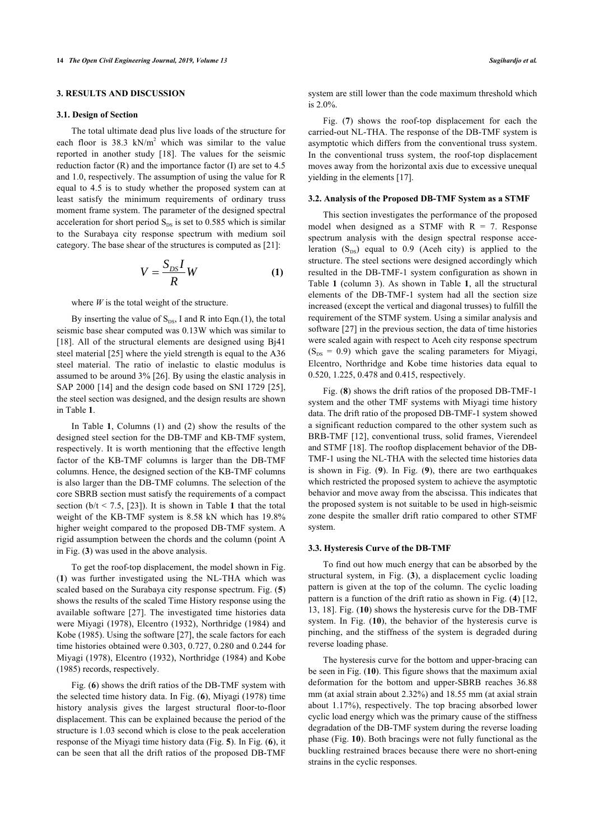# **3. RESULTS AND DISCUSSION**

#### **3.1. Design of Section**

The total ultimate dead plus live loads of the structure for each floor is  $38.3 \text{ kN/m}^2$  which was similar to the value reported in another study[[18\]](#page-9-11). The values for the seismic reduction factor (R) and the importance factor (I) are set to 4.5 and 1.0, respectively. The assumption of using the value for R equal to 4.5 is to study whether the proposed system can at least satisfy the minimum requirements of ordinary truss moment frame system. The parameter of the designed spectral acceleration for short period  $S_{DS}$  is set to 0.585 which is similar to the Surabaya city response spectrum with medium soil category. The base shear of the structures is computed as [[21\]](#page-9-13):

$$
V = \frac{S_{DS}I}{R}W\tag{1}
$$

where *W* is the total weight of the structure.

By inserting the value of  $S_{DS}$ , I and R into Eqn.(1), the total seismic base shear computed was 0.13W which was similar to [[18\]](#page-9-11). All of the structural elements are designed using Bj41 steel material [\[25](#page-9-17)] where the yield strength is equal to the A36 steel material. The ratio of inelastic to elastic modulus is assumed to be around 3% [\[26](#page-9-18)]. By using the elastic analysis in SAP 2000 [[14\]](#page-9-8) and the design code based on SNI 1729 [[25\]](#page-9-17), the steel section was designed, and the design results are shown in Table **[1](#page-5-0)**.

In Table **[1](#page-5-0)**, Columns (1) and (2) show the results of the designed steel section for the DB-TMF and KB-TMF system, respectively. It is worth mentioning that the effective length factor of the KB-TMF columns is larger than the DB-TMF columns. Hence, the designed section of the KB-TMF columns is also larger than the DB-TMF columns. The selection of the core SBRB section must satisfy the requirements of a compact section  $(b/t < 7.5, [23])$  $(b/t < 7.5, [23])$  $(b/t < 7.5, [23])$ . It is shown in Table [1](#page-5-0) that the total weight of the KB-TMF system is 8.58 kN which has 19.8% higher weight compared to the proposed DB-TMF system. A rigid assumption between the chords and the column (point A in Fig. (**[3](#page-2-2)**) was used in the above analysis.

To get the roof-top displacement, the model shown in Fig. (**[1](#page-2-0)**) was further investigated using the NL-THA which was scaled based on the Surabaya city response spectrum. Fig. (**[5](#page-5-1)**) shows the results of the scaled Time History response using the available software[[27](#page-9-19)]. The investigated time histories data were Miyagi (1978), Elcentro (1932), Northridge (1984) and Kobe (1985). Using the software [\[27](#page-9-19)], the scale factors for each time histories obtained were 0.303, 0.727, 0.280 and 0.244 for Miyagi (1978), Elcentro (1932), Northridge (1984) and Kobe (1985) records, respectively.

Fig. (**[6](#page-5-2)**) shows the drift ratios of the DB-TMF system with the selected time history data. In Fig. (**[6](#page-5-2)**), Miyagi (1978) time history analysis gives the largest structural floor-to-floor displacement. This can be explained because the period of the structure is 1.03 second which is close to the peak acceleration response of the Miyagi time history data (Fig. **[5](#page-5-1)**). In Fig. (**[6](#page-5-2)**), it can be seen that all the drift ratios of the proposed DB-TMF system are still lower than the code maximum threshold which is 2.0%.

Fig. (**[7](#page-6-0)**) shows the roof-top displacement for each the carried-out NL-THA. The response of the DB-TMF system is asymptotic which differs from the conventional truss system. In the conventional truss system, the roof-top displacement moves away from the horizontal axis due to excessive unequal yielding in the elements [\[17](#page-9-10)].

#### **3.2. Analysis of the Proposed DB-TMF System as a STMF**

This section investigates the performance of the proposed model when designed as a STMF with  $R = 7$ . Response spectrum analysis with the design spectral response acceleration  $(S_{DS})$  equal to 0.9 (Aceh city) is applied to the structure. The steel sections were designed accordingly which resulted in the DB-TMF-1 system configuration as shown in Table**1** (column 3). As shown in Table**1**, all the structural elements of the DB-TMF-1 system had all the section size increased (except the vertical and diagonal trusses) to fulfill the requirement of the STMF system. Using a similar analysis and software [[27\]](#page-9-19) in the previous section, the data of time histories were scaled again with respect to Aceh city response spectrum  $(S_{DS} = 0.9)$  which gave the scaling parameters for Miyagi, Elcentro, Northridge and Kobe time histories data equal to 0.520, 1.225, 0.478 and 0.415, respectively.

Fig. (**[8](#page-6-1)**) shows the drift ratios of the proposed DB-TMF-1 system and the other TMF systems with Miyagi time history data. The drift ratio of the proposed DB-TMF-1 system showed a significant reduction compared to the other system such as BRB-TMF [\[12\]](#page-9-6), conventional truss, solid frames, Vierendeel and STMF [\[18](#page-9-11)]. The rooftop displacement behavior of the DB-TMF-1 using the NL-THA with the selected time histories data is shown in Fig. (**[9](#page-6-2)**). In Fig. (**[9](#page-6-2)**), there are two earthquakes which restricted the proposed system to achieve the asymptotic behavior and move away from the abscissa. This indicates that the proposed system is not suitable to be used in high-seismic zone despite the smaller drift ratio compared to other STMF system.

#### **3.3. Hysteresis Curve of the DB-TMF**

To find out how much energy that can be absorbed by the structural system, in Fig. (**[3](#page-2-2)**), a displacement cyclic loading pattern is given at the top of the column. The cyclic loading pattern is a function of the drift ratio as shown in Fig. (**[4](#page-3-0)**) [\[12](#page-9-6), [13](#page-9-7), [18](#page-9-11)]. Fig. (**[10](#page-7-0)**) shows the hysteresis curve for the DB-TMF system. In Fig. (**[10](#page-7-0)**), the behavior of the hysteresis curve is pinching, and the stiffness of the system is degraded during reverse loading phase.

The hysteresis curve for the bottom and upper-bracing can be seen in Fig. (**[10](#page-7-0)**). This figure shows that the maximum axial deformation for the bottom and upper-SBRB reaches 36.88 mm (at axial strain about 2.32%) and 18.55 mm (at axial strain about 1.17%), respectively. The top bracing absorbed lower cyclic load energy which was the primary cause of the stiffness degradation of the DB-TMF system during the reverse loading phase (Fig. **[10](#page-7-0)**). Both bracings were not fully functional as the buckling restrained braces because there were no short-ening strains in the cyclic responses.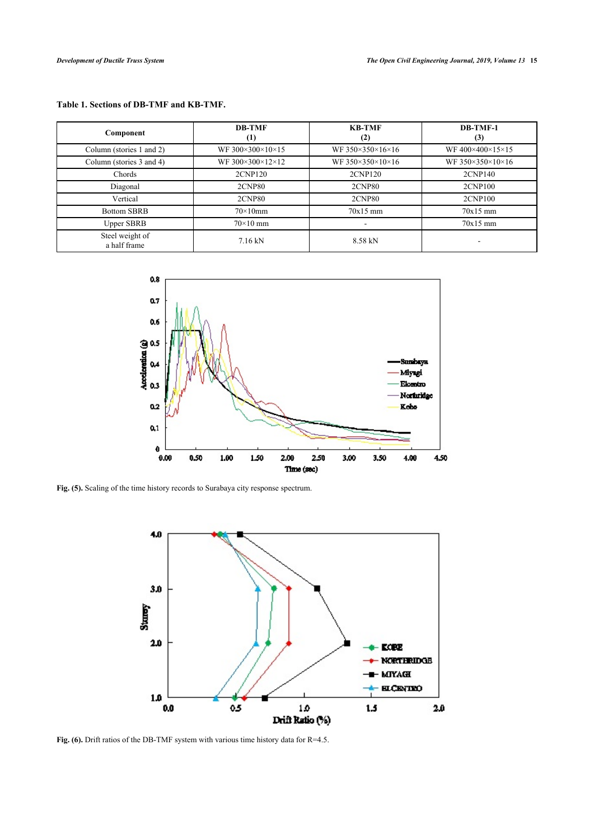# <span id="page-5-0"></span>**Table 1. Sections of DB-TMF and KB-TMF.**

| Component                       | <b>DB-TMF</b><br>$\left(1\right)$ | <b>KB-TMF</b><br>(2) | DB-TMF-1<br>(3)  |
|---------------------------------|-----------------------------------|----------------------|------------------|
| Column (stories 1 and 2)        | WF 300×300×10×15                  | WF 350×350×16×16     | WF400×400×15×15  |
| Column (stories 3 and 4)        | WF 300×300×12×12                  | WF 350×350×10×16     | WF 350×350×10×16 |
| Chords                          | 2CNP120                           | 2CNP120              | 2CNP140          |
| Diagonal                        | <b>2CNP80</b>                     | <b>2CNP80</b>        | 2CNP100          |
| Vertical                        | <b>2CNP80</b>                     | <b>2CNP80</b>        | 2CNP100          |
| <b>Bottom SBRB</b>              | $70\times10$ mm                   | $70x15$ mm           | $70x15$ mm       |
| <b>Upper SBRB</b>               | $70\times10$ mm                   |                      | $70x15$ mm       |
| Steel weight of<br>a half frame | $7.16 \text{ kN}$                 | 8.58 kN              |                  |

<span id="page-5-1"></span>

<span id="page-5-2"></span>**Fig. (5).** Scaling of the time history records to Surabaya city response spectrum.



Fig. (6). Drift ratios of the DB-TMF system with various time history data for R=4.5.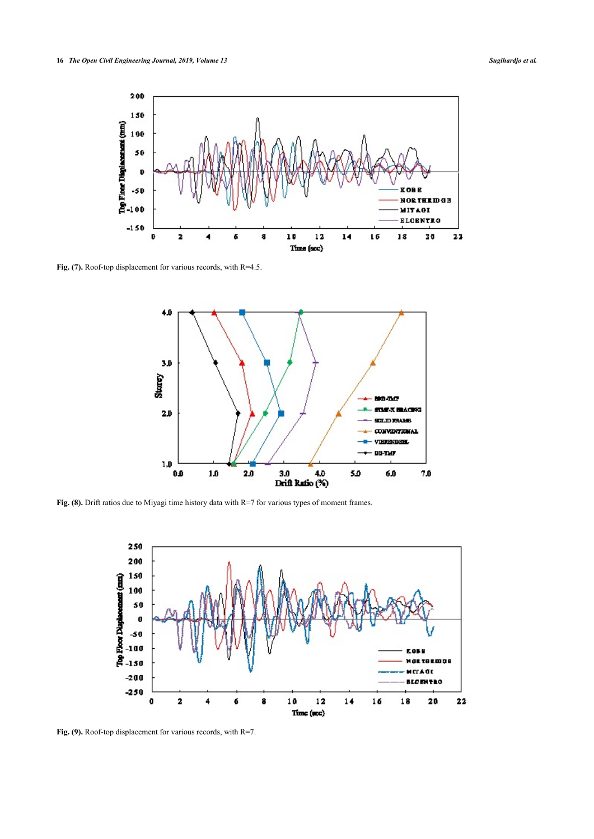<span id="page-6-0"></span>

<span id="page-6-1"></span>Fig. (7). Roof-top displacement for various records, with R=4.5.



<span id="page-6-2"></span>Fig. (8). Drift ratios due to Miyagi time history data with R=7 for various types of moment frames.



Fig. (9). Roof-top displacement for various records, with R=7.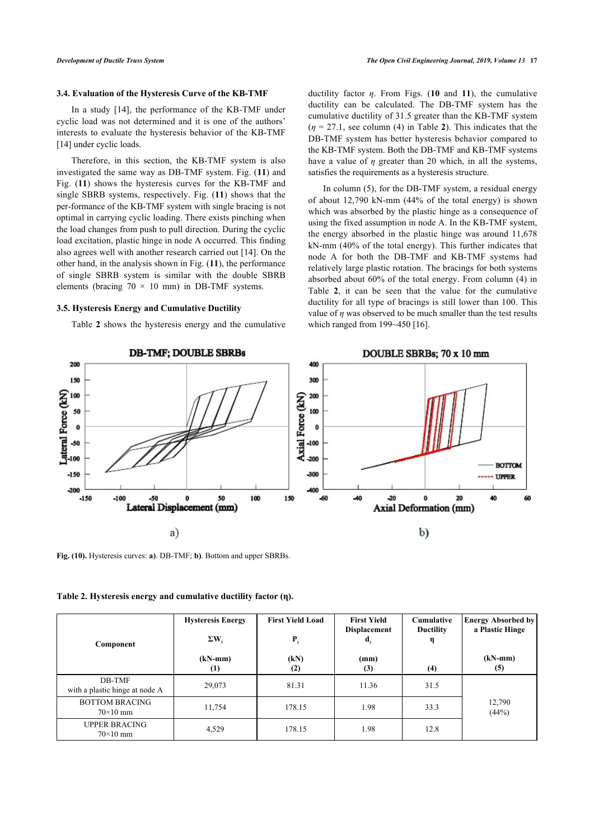#### **3.4. Evaluation of the Hysteresis Curve of the KB-TMF**

In a study [\[14\]](#page-9-8), the performance of the KB-TMF under cyclic load was not determined and it is one of the authors' interests to evaluate the hysteresis behavior of the KB-TMF [[14\]](#page-9-8) under cyclic loads.

Therefore, in this section, the KB-TMF system is also investigated the same way as DB-TMF system. Fig. (**[11](#page-8-4)**) and Fig. (**[11](#page-8-4)**) shows the hysteresis curves for the KB-TMF and single SBRB systems, respectively. Fig. (**[11](#page-8-4)**) shows that the per-formance of the KB-TMF system with single bracing is not optimal in carrying cyclic loading. There exists pinching when the load changes from push to pull direction. During the cyclic load excitation, plastic hinge in node A occurred. This finding also agrees well with another research carried out [[14\]](#page-9-8). On the other hand, in the analysis shown in Fig. (**[11](#page-8-4)**), the performance of single SBRB system is similar with the double SBRB elements (bracing  $70 \times 10$  mm) in DB-TMF systems.

### **3.5. Hysteresis Energy and Cumulative Ductility**

Table **[2](#page-7-1)** shows the hysteresis energy and the cumulative

ductility factor *η*. From Figs. (**[10](#page-7-0)** and **[11](#page-8-4)**), the cumulative ductility can be calculated. The DB-TMF system has the cumulative ductility of 31.5 greater than the KB-TMF system  $(n = 27.1, \text{ see column (4) in Table 2).}$  $(n = 27.1, \text{ see column (4) in Table 2).}$  $(n = 27.1, \text{ see column (4) in Table 2).}$  This indicates that the DB-TMF system has better hysteresis behavior compared to the KB-TMF system. Both the DB-TMF and KB-TMF systems have a value of *η* greater than 20 which, in all the systems, satisfies the requirements as a hysteresis structure.

In column (5), for the DB-TMF system, a residual energy of about 12,790 kN-mm (44% of the total energy) is shown which was absorbed by the plastic hinge as a consequence of using the fixed assumption in node A. In the KB-TMF system, the energy absorbed in the plastic hinge was around 11,678 kN-mm (40% of the total energy). This further indicates that node A for both the DB-TMF and KB-TMF systems had relatively large plastic rotation. The bracings for both systems absorbed about 60% of the total energy. From column (4) in Table**2**, it can be seen that the value for the cumulative ductility for all type of bracings is still lower than 100. This value of *η* was observed to be much smaller than the test results which ranged from 199~450 [[16\]](#page-9-1).

<span id="page-7-0"></span>

**Fig. (10).** Hysteresis curves: **a)**. DB-TMF; **b)**. Bottom and upper SBRBs.

<span id="page-7-1"></span>

|  |  | Table 2. Hysteresis energy and cumulative ductility factor (n). |  |  |
|--|--|-----------------------------------------------------------------|--|--|
|  |  |                                                                 |  |  |

| Component                                | <b>Hysteresis Energy</b><br>$\Sigma W_i$ | <b>First Yield Load</b><br>$P_{y}$ | <b>First Yield</b><br><b>Displacement</b><br>$\mathbf{d}_{\mathbf{v}}$ | Cumulative<br><b>Ductility</b><br>η | <b>Energy Absorbed by</b><br>a Plastic Hinge |
|------------------------------------------|------------------------------------------|------------------------------------|------------------------------------------------------------------------|-------------------------------------|----------------------------------------------|
|                                          | $(kN-mm)$<br>$\left(1\right)$            | (kN)<br>(2)                        | (mm)<br>(3)                                                            | (4)                                 | $(kN-mm)$<br>(5)                             |
| DB-TMF<br>with a plastic hinge at node A | 29,073                                   | 81.31                              | 11.36                                                                  | 31.5                                |                                              |
| <b>BOTTOM BRACING</b><br>$70\times10$ mm | 11,754                                   | 178.15                             | 1.98                                                                   | 33.3                                | 12,790<br>(44%)                              |
| <b>UPPER BRACING</b><br>$70\times10$ mm  | 4,529                                    | 178.15                             | 1.98                                                                   | 12.8                                |                                              |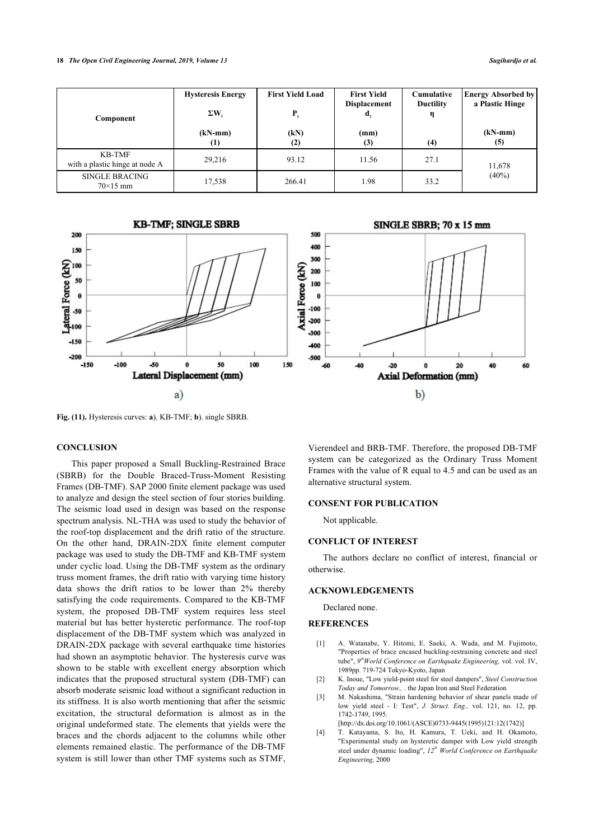| Component                                | <b>Hysteresis Energy</b><br>$\Sigma W$<br>$(kN-mm)$ | <b>First Yield Load</b><br>P<br>(kN) | <b>First Yield</b><br><b>Displacement</b><br>ď,<br>(mm) | <b>Cumulative</b><br><b>Ductility</b><br>η | <b>Energy Absorbed by</b><br>a Plastic Hinge<br>$(kN-mm)$ |  |
|------------------------------------------|-----------------------------------------------------|--------------------------------------|---------------------------------------------------------|--------------------------------------------|-----------------------------------------------------------|--|
|                                          | $\left(1\right)$                                    | (2)                                  | (3)                                                     | (4)                                        | (5)                                                       |  |
| KB-TMF<br>with a plastic hinge at node A | 29,216                                              | 93.12                                | 11.56                                                   | 27.1                                       | 11,678                                                    |  |
| <b>SINGLE BRACING</b><br>$70\times15$ mm | 17,538                                              | 266.41                               | 1.98                                                    | 33.2                                       | $(40\%)$                                                  |  |

<span id="page-8-4"></span>

**Fig. (11).** Hysteresis curves: **a**). KB-TMF; **b**). single SBRB.

#### **CONCLUSION**

<span id="page-8-3"></span><span id="page-8-2"></span><span id="page-8-1"></span><span id="page-8-0"></span>This paper proposed a Small Buckling-Restrained Brace (SBRB) for the Double Braced-Truss-Moment Resisting Frames (DB-TMF). SAP 2000 finite element package was used to analyze and design the steel section of four stories building. The seismic load used in design was based on the response spectrum analysis. NL-THA was used to study the behavior of the roof-top displacement and the drift ratio of the structure. On the other hand, DRAIN-2DX finite element computer package was used to study the DB-TMF and KB-TMF system under cyclic load. Using the DB-TMF system as the ordinary truss moment frames, the drift ratio with varying time history data shows the drift ratios to be lower than 2% thereby satisfying the code requirements. Compared to the KB-TMF system, the proposed DB-TMF system requires less steel material but has better hysteretic performance. The roof-top displacement of the DB-TMF system which was analyzed in DRAIN-2DX package with several earthquake time histories had shown an asymptotic behavior. The hysteresis curve was shown to be stable with excellent energy absorption which indicates that the proposed structural system (DB-TMF) can absorb moderate seismic load without a significant reduction in its stiffness. It is also worth mentioning that after the seismic excitation, the structural deformation is almost as in the original undeformed state. The elements that yields were the braces and the chords adjacent to the columns while other elements remained elastic. The performance of the DB-TMF system is still lower than other TMF systems such as STMF,

Vierendeel and BRB-TMF. Therefore, the proposed DB-TMF system can be categorized as the Ordinary Truss Moment Frames with the value of R equal to 4.5 and can be used as an alternative structural system.

### **CONSENT FOR PUBLICATION**

Not applicable.

#### **CONFLICT OF INTEREST**

The authors declare no conflict of interest, financial or otherwise.

#### **ACKNOWLEDGEMENTS**

Declared none.

#### **REFERENCES**

- [1] A. Watanabe, Y. Hitomi, E. Saeki, A. Wada, and M. Fujimoto, "Properties of brace encased buckling-restraining concrete and steel tube", *9 thWorld Conference on Earthquake Engineering,* vol. vol. IV, 1989pp. 719-724 Tokyo-Kyoto, Japan
- [2] K. Inoue, "Low yield-point steel for steel dampers", *Steel Construction Today and Tomorrow.,* . the Japan Iron and Steel Federation
- [3] M. Nakashima, "Strain hardening behavior of shear panels made of low yield steel - I: Test", *J. Struct. Eng.,* vol. 121, no. 12, pp. 1742-1749, 1995.
	- [\[http://dx.doi.org/10.1061/\(ASCE\)0733-9445\(1995\)121:12\(1742\)](http://dx.doi.org/10.1061/(ASCE)0733-9445(1995)121:12(1742))]
- [4] T. Katayama, S. Ito, H. Kamura, T. Ueki, and H. Okamoto, "Experimental study on hysteretic damper with Low yield strength steel under dynamic loading", *12th World Conference on Earthquake Engineering,* 2000